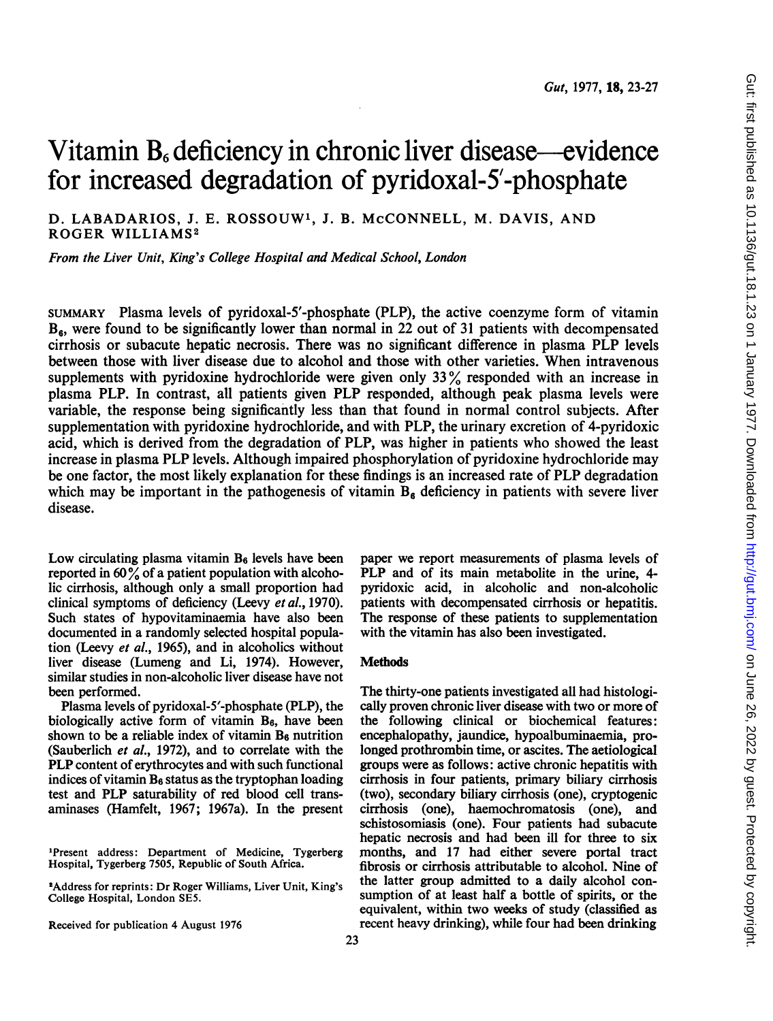# Vitamin  $B_6$  deficiency in chronic liver disease—evidence for increased degradation of pyridoxal-5'-phosphate

D. LABADARIOS, J. E. ROSSOUW1, J. B. McCONNELL, M. DAVIS, AND ROGER WILLIAMS2

From the Liver Unit, King's College Hospital and Medical School, London

SUMMARY Plasma levels of pyridoxal-5'-phosphate (PLP), the active coenzyme form of vitamin  $B_6$ , were found to be significantly lower than normal in 22 out of 31 patients with decompensated cirrhosis or subacute hepatic necrosis. There was no significant difference in plasma PLP levels between those with liver disease due to alcohol and those with other varieties. When intravenous supplements with pyridoxine hydrochloride were given only <sup>33</sup> % responded with an increase in plasma PLP. In contrast, all patients given PLP responded, although peak plasma levels were variable, the response being significantly less than that found in normal control subjects. After supplementation with pyridoxine hydrochloride, and with PLP, the urinary excretion of 4-pyridoxic acid, which is derived from the degradation of PLP, was higher in patients who showed the least increase in plasma PLP levels. Although impaired phosphorylation of pyridoxine hydrochloride may be one factor, the most likely explanation for these findings is an increased rate of PLP degradation which may be important in the pathogenesis of vitamin  $B_6$  deficiency in patients with severe liver disease.

Low circulating plasma vitamin  $B_6$  levels have been reported in  $60\%$  of a patient population with alcoholic cirrhosis, although only a small proportion had clinical symptoms of deficiency (Leevy et al., 1970). Such states of hypovitaminaemia have also been documented in a randomly selected hospital population (Leevy et al., 1965), and in alcoholics without liver disease (Lumeng and Li, 1974). However, similar studies in non-alcoholic liver disease have not been performed.

Plasma levels of pyridoxal-5'-phosphate (PLP), the biologically active form of vitamin  $B_6$ , have been shown to be a reliable index of vitamin  $B_6$  nutrition (Sauberlich et al., 1972), and to correlate with the PLP content of erythrocytes and with such functional indices of vitamin  $B_6$  status as the tryptophan loading test and PLP saturability of red blood cell transaminases (Hamfelt, 1967; 1967a). In the present

'Present address: Department of Medicine, Tygerberg Hospital, Tygerberg 7505, Republic of South Africa.

2Address for reprints: Dr Roger Williams, Liver Unit, King's College Hospital, London SE5.

Received for publication 4 August 1976

paper we report measurements of plasma levels of PLP and of its main metabolite in the urine, 4pyridoxic acid, in alcoholic and non-alcoholic patients with decompensated cirrhosis or hepatitis. The response of these patients to supplementation with the vitamin has also been investigated.

## **Methods**

The thirty-one patients investigated all had histologically proven chronic liver disease with two or more of the following clinical or biochemical features: encephalopathy, jaundice, hypoalbuminaemia, prolonged prothrombin time, or ascites. The aetiological groups were as follows: active chronic hepatitis with cirrhosis in four patients, primary biliary cirrhosis (two), secondary biliary cirrhosis (one), cryptogenic cirrhosis (one), haemochromatosis (one), and schistosomiasis (one). Four patients had subacute hepatic necrosis and had been ill for three to six months, and 17 had either severe portal tract fibrosis or cirrhosis attributable to alcohol. Nine of the latter group admitted to a daily alcohol consumption of at least half a bottle of spirits, or the equivalent, within two weeks of study (classified as recent heavy drinking), while four had been drinking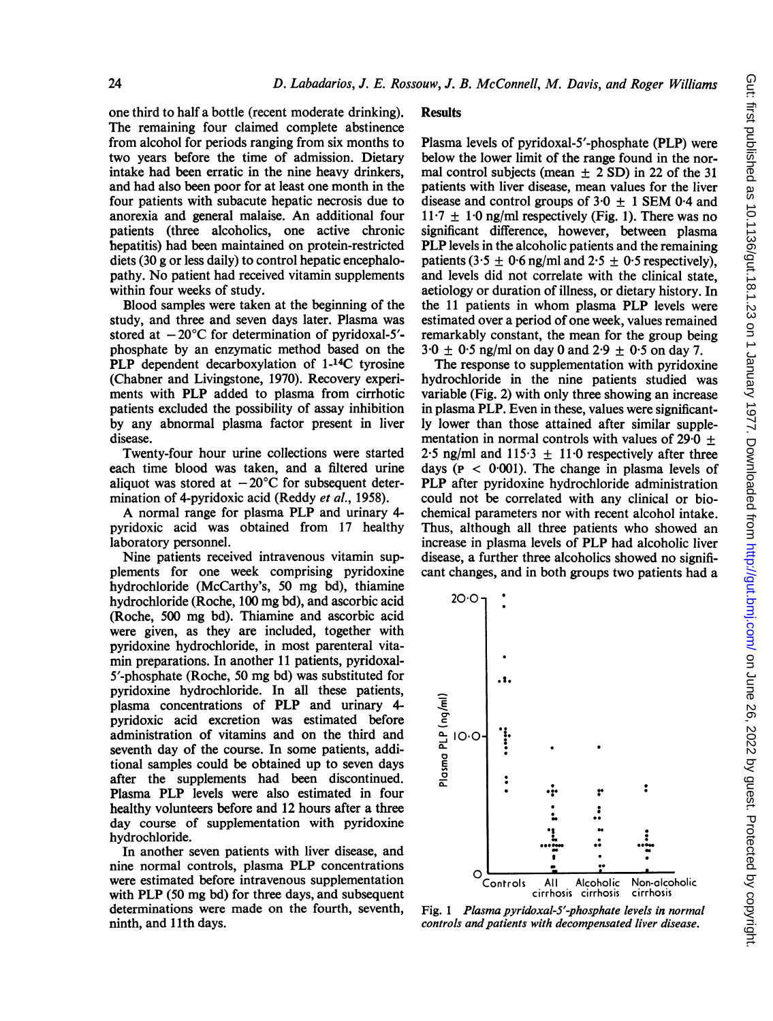one third to half a bottle (recent moderate drinking). The remaining four claimed complete abstinence from alcohol for periods ranging from six months to two years before the time of admission. Dietary intake had been erratic in the nine heavy drinkers, and had also been poor for at least one month in the four patients with subacute hepatic necrosis due to anorexia and general malaise. An additional four patients (three alcoholics, one active chronic hepatitis) had been maintained on protein-restricted diets (30 g or less daily) to control hepatic encephalopathy. No patient had received vitamin supplements within four weeks of study.

Blood samples were taken at the beginning of the study, and three and seven days later. Plasma was stored at  $-20^{\circ}$ C for determination of pyridoxal-5'phosphate by an enzymatic method based on the PLP dependent decarboxylation of 1-<sup>14</sup>C tyrosine (Chabner and Livingstone, 1970). Recovery experiments with PLP added to plasma from cirrhotic patients excluded the possibility of assay inhibition by any abnormal plasma factor present in liver disease.

Twenty-four hour urine collections were started each time blood was taken, and a filtered urine aliquot was stored at  $-20^{\circ}$ C for subsequent determination of 4-pyridoxic acid (Reddy et al., 1958).

A normal range for plasma PLP and urinary 4 pyridoxic acid was obtained from 17 healthy laboratory personnel.

Nine patients received intravenous vitamin supplements for one week comprising pyridoxine hydrochloride (McCarthy's, 50 mg bd), thiamine hydrochloride (Roche, 100 mg bd), and ascorbic acid (Roche, <sup>500</sup> mg bd). Thiamine and ascorbic acid were given, as they are included, together with pyridoxine hydrochloride, in most parenteral vitamin preparations. In another 11 patients, pyridoxal-<sup>5</sup>'-phosphate (Roche, 50 mg bd) was substituted for pyridoxine hydrochloride. In all these patients, plasma concentrations of PLP and urinary 4 pyridoxic acid excretion was estimated before administration of vitamins and on the third and seventh day of the course. In some patients, additional samples could be obtained up to seven days after the supplements had been discontinued. Plasma PLP levels were also estimated in four healthy volunteers before and 12 hours after a three day course of supplementation with pyridoxine hydrochloride.

In another seven patients with liver disease, and nine normal controls, plasma PLP concentrations were estimated before intravenous supplementation with PLP (50 mg bd) for three days, and subsequent determinations were made on the fourth, seventh, ninth, and 11th days.

## **Results**

Plasma levels of pyridoxal-5'-phosphate (PLP) were below the lower limit of the range found in the normal control subjects (mean  $\pm$  2 SD) in 22 of the 31 patients with liver disease, mean values for the liver disease and control groups of  $3.0 + 1$  SEM 0.4 and  $11.7 \pm 1.0$  ng/ml respectively (Fig. 1). There was no significant difference, however, between plasma PLP levels in the alcoholic patients and the remaining patients (3.5  $\pm$  0.6 ng/ml and 2.5  $\pm$  0.5 respectively), and levels did not correlate with the clinical state, aetiology or duration of illness, or dietary history. In the <sup>11</sup> patients in whom plasma PLP levels were estimated over a period of one week, values remained remarkably constant, the mean for the group being  $3.0 \pm 0.5$  ng/ml on day 0 and  $2.9 \pm 0.5$  on day 7.

The response to supplementation with pyridoxine hydrochloride in the nine patients studied was variable (Fig. 2) with only three showing an increase in plasma PLP. Even in these, values were significantly lower than those attained after similar supplementation in normal controls with values of  $29\cdot\overline{0}$  + 2.5 ng/ml and  $115.3 \pm 11.0$  respectively after three days ( $P < 0.001$ ). The change in plasma levels of PLP after pyridoxine hydrochloride administration could not be correlated with any clinical or biochemical parameters nor with recent alcohol intake. Thus, although all three patients who showed an increase in plasma levels of PLP had alcoholic liver disease, a further three alcoholics showed no significant changes, and in both groups two patients had a



Fig. <sup>1</sup> Plasma pyridoxal-S'-phosphate levels in normal controls and patients with decompensated liver disease.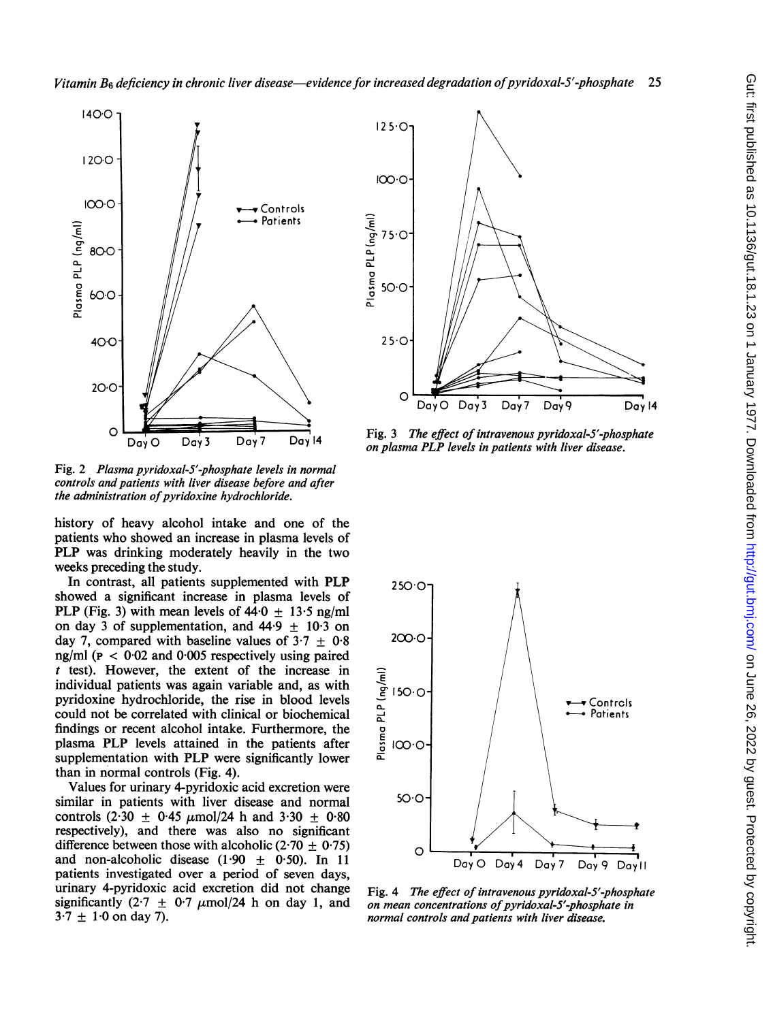

Fig. 2 Plasma pyridoxal-5'-phosphate levels in normal controls and patients with liver disease before and after the administration of pyridoxine hydrochloride.

history of heavy alcohol intake and one of the patients who showed an increase in plasma levels of PLP was drinking moderately heavily in the two weeks preceding the study.

In contrast, all patients supplemented with PLP  $250.0$ showed a significant increase in plasma levels of PLP (Fig. 3) with mean levels of  $44.0 \pm 13.5$  ng/ml on day 3 of supplementation, and  $44.9 + 10.3$  on day 7, compared with baseline values of  $3.7 + 0.8$  200.0 ng/ml ( $p < 0.02$  and 0.005 respectively using paired t test). However, the extent of the increase in<br>
individual patients was again variable and, as with<br>
pyridoxine hydrochloride, the rise in blood levels<br>
could not be correlated with clinical or biochemical individual patients was again variable and, as with pyridoxine hydrochloride, the rise in blood levels r test). However, the extent of the increase in<br>
individual patients was again variable and, as with<br>
pyridoxine hydrochloride, the rise in blood levels<br>
could not be correlated with clinical or biochemical<br>
plasma PLP le findings or recent alcohol intake. Furthermore, the plasma PLP levels attained in the patients after  $\frac{5}{6}$   $\infty$  o supplementation with PLP were significantly lower than in normal controls (Fig. 4).

Values for urinary 4-pyridoxic acid excretion were<br>nilar in patients with liver disease and pormal  $50^{\circ}$ similar in patients with liver disease and normal controls (2.30  $\pm$  0.45  $\mu$ mol/24 h and 3.30  $\pm$  0.80 respectively), and there was also no significant difference between those with alcoholic (2.70  $\pm$  0.75) and non-alcoholic disease (1.90  $\pm$  0.50). In 11 Doy O Doy 4 Doy 7 Doy 9 Doy II patients investigated over a period of seven days, urinary 4-pyridoxic acid excretion did not change urinary 4-pyridoxic acid excretion did not change Fig. 4 The effect of intravenous pyridoxal-5'-phosphate<br>significantly  $(2 \cdot 7 + 0 \cdot 7 \mu \text{mol})/24$  h on day 1, and on mean concentrations of pyridoxal-5'-phosphate in significantly (2.7  $\pm$  0.7  $\mu$ mol/24 h on day 1, and on mean concentrations of pyridoxal-S'-phosphate in<br>3.7  $\pm$  1.0 on day 7).



 $O$  **Fig. 3** The effect of intravenous pyridoxal-5'-phosphate<br>Day O Day 3 Day 7 Day 14 on plasma PLP levels in patients with liver disease.



normal controls and patients with liver disease.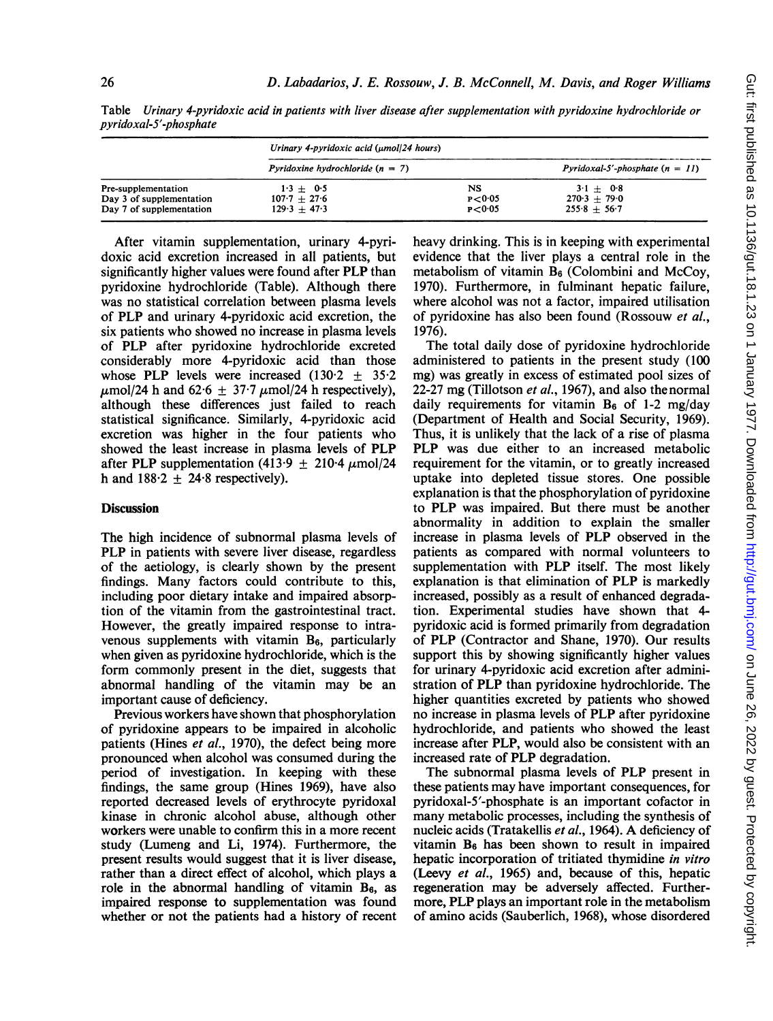|                                                                             | Urinary 4-pyridoxic acid $(\mu$ mol/24 hours)   |                            |                                                 |
|-----------------------------------------------------------------------------|-------------------------------------------------|----------------------------|-------------------------------------------------|
|                                                                             | Pyridoxine hydrochloride $(n = 7)$              |                            | Pyridoxal-5'-phosphate $(n = 1)$                |
| Pre-supplementation<br>Day 3 of supplementation<br>Day 7 of supplementation | $1.3 + 0.5$<br>$107.7 + 27.6$<br>$129.3 + 47.3$ | NS<br>P < 0.05<br>P < 0.05 | $3.1 + 0.8$<br>$270.3 + 79.0$<br>$255.8 + 56.7$ |

Table Urinary 4-pyridoxic acid in patients with liver disease after supplementation with pyridoxine hydrochloride or pyridoxal-5'-phosphate

After vitamin supplementation, urinary 4-pyridoxic acid excretion increased in all patients, but significantly higher values were found after PLP than pyridoxine hydrochloride (Table). Although there was no statistical correlation between plasma levels of PLP and urinary 4-pyridoxic acid excretion, the six patients who showed no increase in plasma levels of PLP after pyridoxine hydrochloride excreted considerably more 4-pyridoxic acid than those whose PLP levels were increased  $(130.2 + 35.2)$  $\mu$ mol/24 h and 62.6  $\pm$  37.7  $\mu$ mol/24 h respectively), although these differences just failed to reach statistical significance. Similarly, 4-pyridoxic acid excretion was higher in the four patients who showed the least increase in plasma levels of PLP after PLP supplementation (413.9  $\pm$  210.4  $\mu$ mol/24 h and  $188.2 + 24.8$  respectively).

### **Discussion**

The high incidence of subnormal plasma levels of PLP in patients with severe liver disease, regardless of the aetiology, is clearly shown by the present findings. Many factors could contribute to this, including poor dietary intake and impaired absorption of the vitamin from the gastrointestinal tract. However, the greatly impaired response to intravenous supplements with vitamin  $B_6$ , particularly when given as pyridoxine hydrochloride, which is the form commonly present in the diet, suggests that abnormal handling of the vitamin may be an important cause of deficiency.

Previous workers have shown that phosphorylation of pyridoxine appears to be impaired in alcoholic patients (Hines et al., 1970), the defect being more pronounced when alcohol was consumed during the period of investigation. In keeping with these findings, the same group (Hines 1969), have also reported decreased levels of erythrocyte pyridoxal kinase in chronic alcohol abuse, although other workers were unable to confirm this in a more recent study (Lumeng and Li, 1974). Furthermore, the present results would suggest that it is liver disease, rather than a direct effect of alcohol, which plays a role in the abnormal handling of vitamin  $B_6$ , as impaired response to supplementation was found whether or not the patients had a history of recent heavy drinking. This is in keeping with experimental evidence that the liver plays a central role in the metabolism of vitamin  $B_6$  (Colombini and McCoy, 1970). Furthermore, in fulminant hepatic failure, where alcohol was not a factor, impaired utilisation of pyridoxine has also been found (Rossouw et al., 1976).

The total daily dose of pyridoxine hydrochloride administered to patients in the present study (100 mg) was greatly in excess of estimated pool sizes of 22-27 mg (Tillotson *et al.*, 1967), and also the normal daily requirements for vitamin  $B_6$  of 1-2 mg/day (Department of Health and Social Security, 1969). Thus, it is unlikely that the lack of a rise of plasma PLP was due either to an increased metabolic requirement for the vitamin, or to greatly increased uptake into depleted tissue stores. One possible explanation is that the phosphorylation of pyridoxine to PLP was impaired. But there must be another abnormality in addition to explain the smaller increase in plasma levels of PLP observed in the patients as compared with normal volunteers to supplementation with PLP itself. The most likely explanation is that elimination of PLP is markedly increased, possibly as a result of enhanced degradation. Experimental studies have shown that 4 pyridoxic acid is formed primarily from degradation of PLP (Contractor and Shane, 1970). Our results support this by showing significantly higher values for urinary 4-pyridoxic acid excretion after administration of PLP than pyridoxine hydrochloride. The higher quantities excreted by patients who showed no increase in plasma levels of PLP after pyridoxine hydrochloride, and patients who showed the least increase after PLP, would also be consistent with an increased rate of PLP degradation.

The subnormal plasma levels of PLP present in these patients may have important consequences, for pyridoxal-5'-phosphate is an important cofactor in many metabolic processes, including the synthesis of nucleic acids (Tratakellis et al., 1964). A deficiency of vitamin  $B_6$  has been shown to result in impaired hepatic incorporation of tritiated thymidine in vitro (Leevy et al., 1965) and, because of this, hepatic regeneration may be adversely affected. Furthermore, PLP plays an important role in the metabolism of amino acids (Sauberlich, 1968), whose disordered